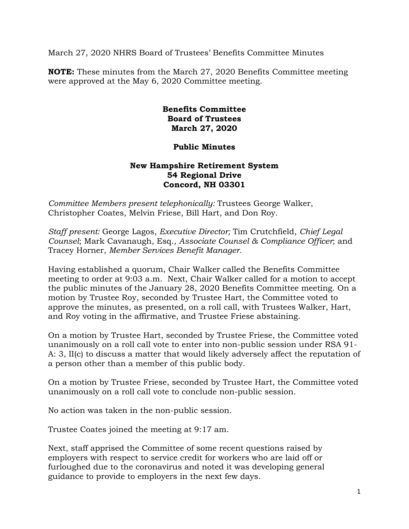March 27, 2020 NHRS Board of Trustees' Benefits Committee Minutes

**NOTE:** These minutes from the March 27, 2020 Benefits Committee meeting were approved at the May 6, 2020 Committee meeting.

## **Benefits Committee Board of Trustees March 27, 2020**

## **Public Minutes**

## **New Hampshire Retirement System 54 Regional Drive Concord, NH 03301**

*Committee Members present telephonically:* Trustees George Walker, Christopher Coates, Melvin Friese, Bill Hart, and Don Roy.

*Staff present:* George Lagos, *Executive Director;* Tim Crutchfield, *Chief Legal Counsel*; Mark Cavanaugh, Esq., *Associate Counsel & Compliance Officer*; and Tracey Horner, *Member Services Benefit Manager.* 

Having established a quorum, Chair Walker called the Benefits Committee meeting to order at 9:03 a.m. Next, Chair Walker called for a motion to accept the public minutes of the January 28, 2020 Benefits Committee meeting. On a motion by Trustee Roy, seconded by Trustee Hart, the Committee voted to approve the minutes, as presented, on a roll call, with Trustees Walker, Hart, and Roy voting in the affirmative, and Trustee Friese abstaining.

On a motion by Trustee Hart, seconded by Trustee Friese, the Committee voted unanimously on a roll call vote to enter into non-public session under RSA 91- A: 3, II(c) to discuss a matter that would likely adversely affect the reputation of a person other than a member of this public body.

On a motion by Trustee Friese, seconded by Trustee Hart, the Committee voted unanimously on a roll call vote to conclude non-public session.

No action was taken in the non-public session.

Trustee Coates joined the meeting at 9:17 am.

Next, staff apprised the Committee of some recent questions raised by employers with respect to service credit for workers who are laid off or furloughed due to the coronavirus and noted it was developing general guidance to provide to employers in the next few days.